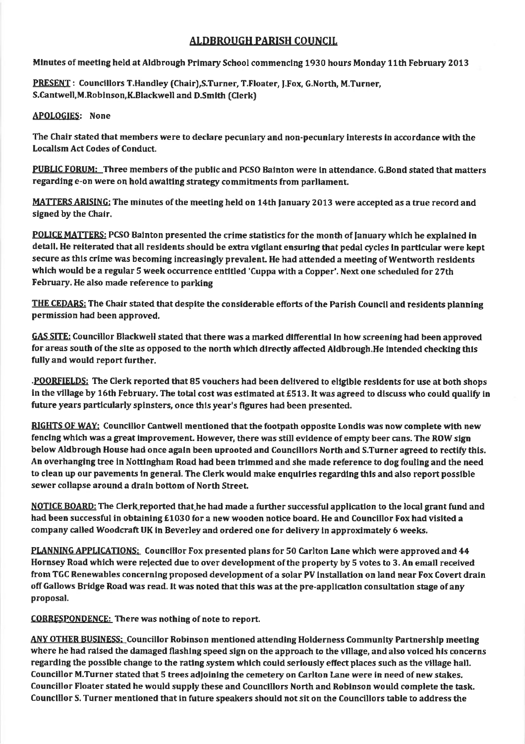## ALDBROUGH PARISH COUNCIL

Mlnutes of meetlng held at Aldbrough Primary School commenclng 1930 hours Monday 11th February 2013

PRESENT : Councillors T.Handley (Chair), S.Turner, T.Floater, J.Fox, G.North, M.Turner, S.Cantwell,M.Roblnson,K.Blackwell and D.Smlth (Clerk)

APOLOGIES: None

The Chair stated that members were to declare pecuniaryand non-pecunlary interests ln accordance with the Localism Act Codes of Conduct.

PUBLIC FORUM: Three members of the public and PCSO Balnton were ln attendance, G,Bond stated that matters regarding e-on were on hold awaiting strategy commitments from parliament.

MATTERS ARISING: The minutes of the meeting held on 14th January 2013 were accepted as a true record and signed by the Chair.

POLICE MATTERS: PCSO Balnton presented the crime statistics for the month of lanuary which he explained in detail. He reiterated that all residents should be extra vigilant ensuring that pedal cycles in particular were kept secure as this crime was becoming increasingly prevalent. He had attended a meeting of Wentworth residents whlch would be a regular 5 week occurrence entltled 'Cuppa wlth a Copper'. Next one scheduled for 27th February. He also made reference to parking

THE CEDARS: The Chair stated that despite the considerable efforts of the Parish Council and residents planning permission had been approved,

GAS SITE: Councillor Blackwell stated that there was a marked differential in how screening had been approved for areas south of the site as opposed to the north which directly affected Aldbrough.He intended checking this fully and would report further.

.POORFIELDS: The Clerk reported that 85 vouchers had been delivered to eligible residents for use at both shops in the village by 16th February. The total cost was estimated at £513. It was agreed to discuss who could qualify in future years partlcularly spinsters, once thls year's ffgures had been presented.

RIGHTS OF WAY: Councillor Cantwell mentioned that the footpath opposite Londis was now complete with new fencing which was a great improvement. However, there was still evidence of empty beer cans. The ROW sign below Aldbrough House had once agaln been uprooted and Councillors North and S.Turner agreed to rectify this. An overhanging tree in Nottlngham Road had been trlmmed and she made reference to dog foullng and the need to clean up our pavements ln general. The Clerk would make enqulrles regardlng thls and also report posslble sewer collapse around a drain bottom of North Street.

NOTICE BOARD: The Clerk reported that he had made a further successful application to the local grant fund and had been successful in obtaintng E1030 for a new wooden notice board, He and Councillor Fox had vislted a company called Woodcraft UK in Beverley and ordered one for delivery ln approxlmately 6 weeks,

PLANNING APPLICATIONS: Councillor Fox presented plans for 50 Carlton Lane which were approved and 44 Hornsey Road which were relected due to over development of the property by 5 votes to 3. An emall received from TGC Renewables concernlng proposed development ofa solar PV lnstallation on land near Fox Covert drain off Gallows Bridge Road was read. It was noted that this was at the pre-application consultation stage of any proposal.

CORRESPONDENCE: There was nothing of note to report.

ANY OTHER BUSINESS: Councillor Robinson mentloned attending Holderness Communlty Partnershlp meetlng where he had raised the damaged flashing speed sign on the approach to the village, and also voiced his concerns regarding the possible change to the rating system which could seriously effect places such as the village hall. Councillor M.Turner stated that 5 trees adjoining the cemetery on Carlton Lane were in need of new stakes. Councillor Floater stated he would supply these and Counclllors North and Roblnson would complete the task. Counclllor S. Turner mentioned that in future speakers should not sit on the Councillors table to address the